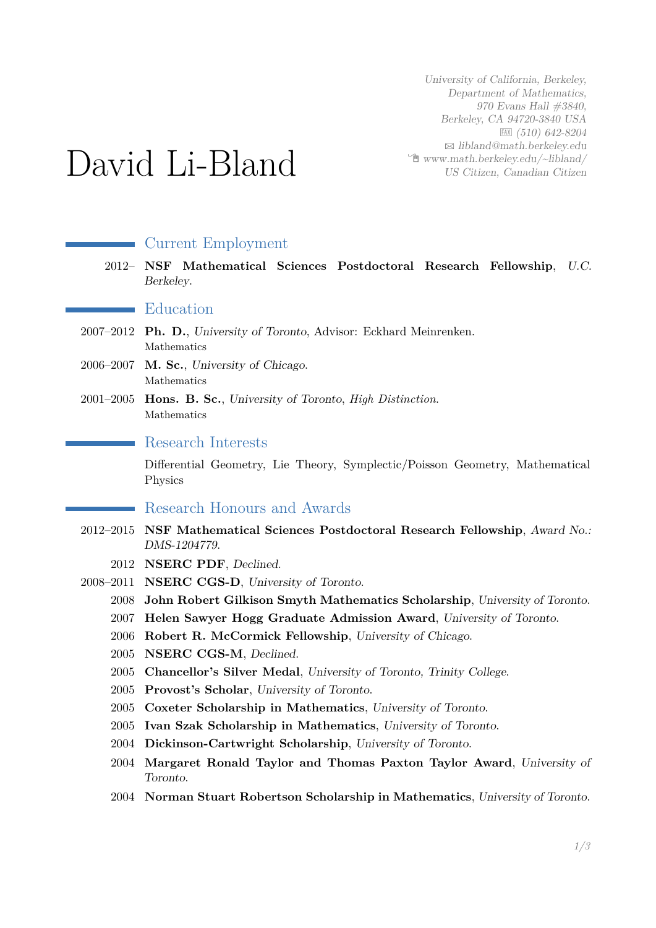University of California, Berkeley, Department of Mathematics, 970 Evans Hall #3840, Berkeley, CA 94720-3840 USA  $FAX$  (510) 642-8204  $\boxtimes$  [libland@math.berkeley.edu](mailto:libland@math.berkeley.edu)  $\hat{\mathbb{E}}$  [www.math.berkeley.edu/~libland/](http://www.math.berkeley.edu/~libland/) US Citizen, Canadian Citizen

# David Li-Bland

## Current Employment

2012– **NSF Mathematical Sciences Postdoctoral Research Fellowship**, U.C. Berkeley.

**E**ducation

- 2007–2012 **Ph. D.**, University of Toronto, Advisor: Eckhard Meinrenken. Mathematics
- 2006–2007 **M. Sc.**, University of Chicago. Mathematics
- 2001–2005 **Hons. B. Sc.**, University of Toronto, *High Distinction*. Mathematics

#### Research Interests

Differential Geometry, Lie Theory, Symplectic/Poisson Geometry, Mathematical Physics

### Research Honours and Awards

- 2012–2015 **NSF Mathematical Sciences Postdoctoral Research Fellowship**, Award No.: DMS-1204779.
	- 2012 **NSERC PDF**, Declined.
- 2008–2011 **NSERC CGS-D**, University of Toronto.
	- 2008 **John Robert Gilkison Smyth Mathematics Scholarship**, University of Toronto.
	- 2007 **Helen Sawyer Hogg Graduate Admission Award**, University of Toronto.
	- 2006 **Robert R. McCormick Fellowship**, University of Chicago.
	- 2005 **NSERC CGS-M**, Declined.
	- 2005 **Chancellor's Silver Medal**, University of Toronto, Trinity College.
	- 2005 **Provost's Scholar**, University of Toronto.
	- 2005 **Coxeter Scholarship in Mathematics**, University of Toronto.
	- 2005 **Ivan Szak Scholarship in Mathematics**, University of Toronto.
	- 2004 **Dickinson-Cartwright Scholarship**, University of Toronto.
	- 2004 **Margaret Ronald Taylor and Thomas Paxton Taylor Award**, University of Toronto.
	- 2004 **Norman Stuart Robertson Scholarship in Mathematics**, University of Toronto.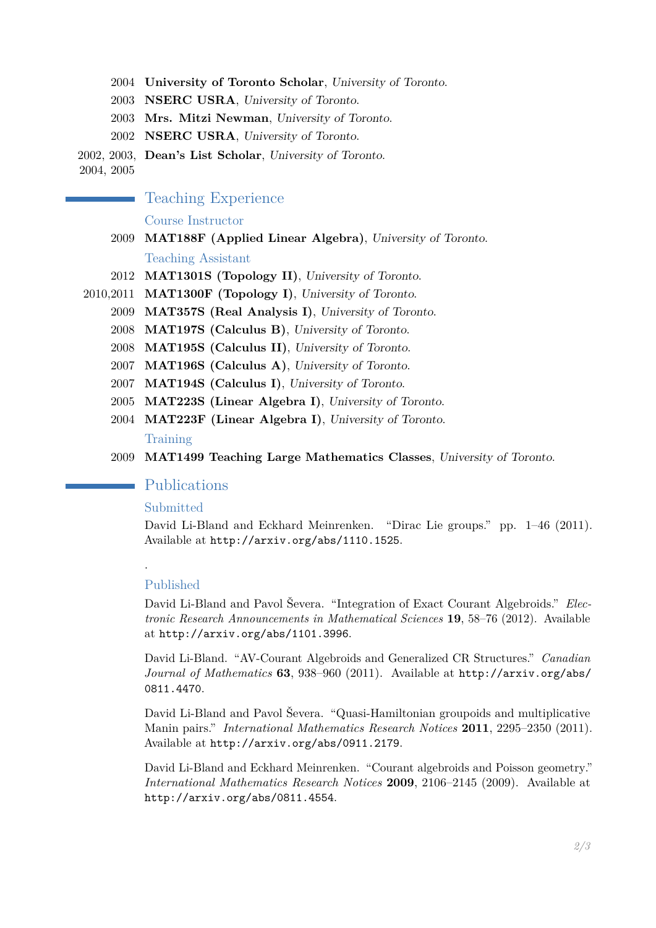- 2004 **University of Toronto Scholar**, University of Toronto.
- 2003 **NSERC USRA**, University of Toronto.
- 2003 **Mrs. Mitzi Newman**, University of Toronto.
- 2002 **NSERC USRA**, University of Toronto.
- 2002, 2003, **Dean's List Scholar**, University of Toronto.

2004, 2005

#### Teaching Experience

#### Course Instructor

- 2009 **MAT188F (Applied Linear Algebra)**, University of Toronto. Teaching Assistant
- 2012 **MAT1301S (Topology II)**, University of Toronto.
- 2010,2011 **MAT1300F (Topology I)**, University of Toronto.
	- 2009 **MAT357S (Real Analysis I)**, University of Toronto.
	- 2008 **MAT197S (Calculus B)**, University of Toronto.
	- 2008 **MAT195S (Calculus II)**, University of Toronto.
	- 2007 **MAT196S (Calculus A)**, University of Toronto.
	- 2007 **MAT194S (Calculus I)**, University of Toronto.
	- 2005 **MAT223S (Linear Algebra I)**, University of Toronto.
	- 2004 **MAT223F (Linear Algebra I)**, University of Toronto.

#### Training

2009 **MAT1499 Teaching Large Mathematics Classes**, University of Toronto.

#### Publications

#### Submitted

David Li-Bland and Eckhard Meinrenken. "Dirac Lie groups." pp. 1–46 (2011). Available at <http://arxiv.org/abs/1110.1525>.

#### Published

.

David Li-Bland and Pavol Ševera. "Integration of Exact Courant Algebroids." *Electronic Research Announcements in Mathematical Sciences* **19**, 58–76 (2012). Available at <http://arxiv.org/abs/1101.3996>.

David Li-Bland. "AV-Courant Algebroids and Generalized CR Structures." *Canadian Journal of Mathematics* **63**, 938–960 (2011). Available at [http://arxiv.org/abs/](http://arxiv.org/abs/0811.4470) [0811.4470](http://arxiv.org/abs/0811.4470).

David Li-Bland and Pavol Ševera. "Quasi-Hamiltonian groupoids and multiplicative Manin pairs." *International Mathematics Research Notices* **2011**, 2295–2350 (2011). Available at <http://arxiv.org/abs/0911.2179>.

David Li-Bland and Eckhard Meinrenken. "Courant algebroids and Poisson geometry." *International Mathematics Research Notices* **2009**, 2106–2145 (2009). Available at <http://arxiv.org/abs/0811.4554>.